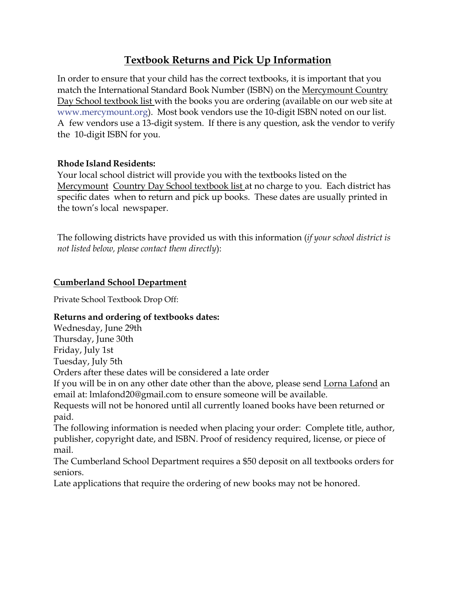# **Textbook Returns and Pick Up Information**

In order to ensure that your child has the correct textbooks, it is important that you match the International Standard Book Number (ISBN) on the Mercymount Country Day School textbook list with the books you are ordering (available on our web site at [www.mercymount.org\)](http://www.mercymount.org/). Most book vendors use the 10-digit ISBN noted on our list. A few vendors use a 13-digit system. If there is any question, ask the vendor to verify the 10-digit ISBN for you.

### **Rhode Island Residents:**

Your local school district will provide you with the textbooks listed on the Mercymount Country Day School textbook list at no charge to you. Each district has specific dates when to return and pick up books. These dates are usually printed in the town's local newspaper.

The following districts have provided us with this information (*if your school district is not listed below, please contact them directly*):

### **Cumberland School Department**

Private School Textbook Drop Off:

### **Returns and ordering of textbooks dates:**

Wednesday, June 29th Thursday, June 30th Friday, July 1st Tuesday, July 5th Orders after these dates will be considered a late order If you will be in on any other date other than the above, please send Lorna [Lafond](mailto:lmlafond20@gmail.com) an email at: lmlafond20@gmail.com to ensure someone will be available. Requests will not be honored until all currently loaned books have been returned or paid. The following information is needed when placing your order: Complete title, author, publisher, copyright date, and ISBN. Proof of residency required, license, or piece of mail.

The Cumberland School Department requires a \$50 deposit on all textbooks orders for seniors.

Late applications that require the ordering of new books may not be honored.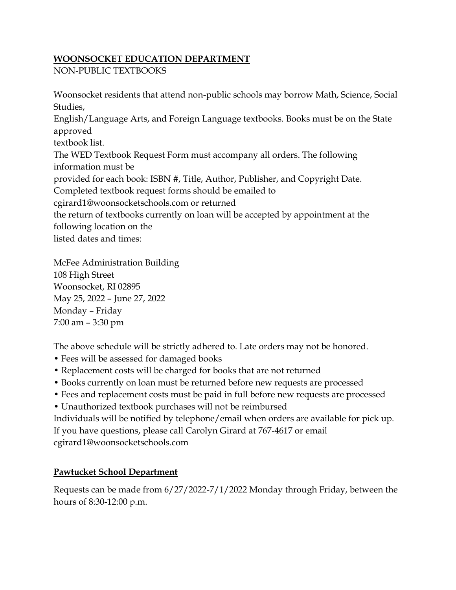### **WOONSOCKET EDUCATION DEPARTMENT**

NON-PUBLIC TEXTBOOKS

Woonsocket residents that attend non-public schools may borrow Math, Science, Social Studies, English/Language Arts, and Foreign Language textbooks. Books must be on the State approved textbook list. The WED Textbook Request Form must accompany all orders. The following information must be provided for each book: ISBN #, Title, Author, Publisher, and Copyright Date. Completed textbook request forms should be emailed to cgirard1@woonsocketschools.com or returned the return of textbooks currently on loan will be accepted by appointment at the following location on the listed dates and times:

McFee Administration Building 108 High Street Woonsocket, RI 02895 May 25, 2022 – June 27, 2022 Monday – Friday 7:00 am – 3:30 pm

The above schedule will be strictly adhered to. Late orders may not be honored.

- Fees will be assessed for damaged books
- Replacement costs will be charged for books that are not returned
- Books currently on loan must be returned before new requests are processed
- Fees and replacement costs must be paid in full before new requests are processed
- Unauthorized textbook purchases will not be reimbursed

Individuals will be notified by telephone/email when orders are available for pick up. If you have questions, please call Carolyn Girard at 767-4617 or email cgirard1@woonsocketschools.com

## **Pawtucket School Department**

Requests can be made from 6/27/2022-7/1/2022 Monday through Friday, between the hours of 8:30-12:00 p.m.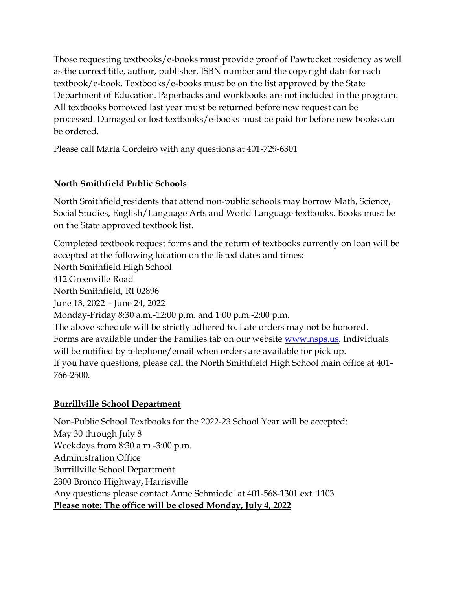Those requesting textbooks/e-books must provide proof of Pawtucket residency as well as the correct title, author, publisher, ISBN number and the copyright date for each textbook/e-book. Textbooks/e-books must be on the list approved by the State Department of Education. Paperbacks and workbooks are not included in the program. All textbooks borrowed last year must be returned before new request can be processed. Damaged or lost textbooks/e-books must be paid for before new books can be ordered.

Please call Maria Cordeiro with any questions at 401-729-6301

## **North Smithfield Public Schools**

North Smithfield residents that attend non-public schools may borrow Math, Science, Social Studies, English/Language Arts and World Language textbooks. Books must be on the State approved textbook list.

Completed textbook request forms and the return of textbooks currently on loan will be accepted at the following location on the listed dates and times:

North Smithfield High School 412 Greenville Road North Smithfield, RI 02896 June 13, 2022 – June 24, 2022 Monday-Friday 8:30 a.m.-12:00 p.m. and 1:00 p.m.-2:00 p.m. The above schedule will be strictly adhered to. Late orders may not be honored. Forms are available under the Families tab on our website [www.nsps.us.](http://www.nsps.us/) Individuals will be notified by telephone/email when orders are available for pick up. If you have questions, please call the North Smithfield High School main office at 401- 766-2500.

## **Burrillville School Department**

Non-Public School Textbooks for the 2022-23 School Year will be accepted: May 30 through July 8 Weekdays from 8:30 a.m.-3:00 p.m. Administration Office Burrillville School Department 2300 Bronco Highway, Harrisville Any questions please contact Anne Schmiedel at 401-568-1301 ext. 1103 **Please note: The office will be closed Monday, July 4, 2022**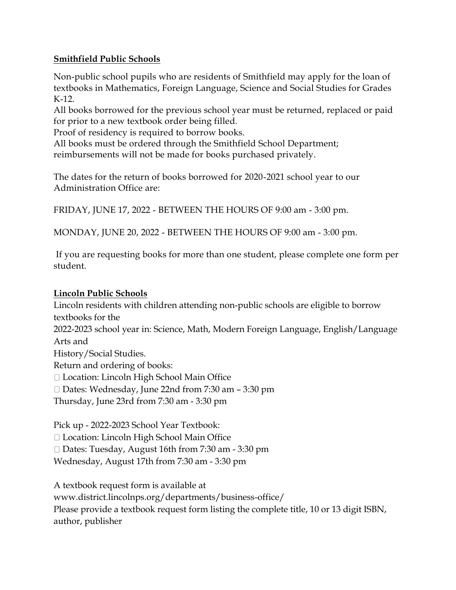### **Smithfield Public Schools**

Non-public school pupils who are residents of Smithfield may apply for the loan of textbooks in Mathematics, Foreign Language, Science and Social Studies for Grades K-12.

All books borrowed for the previous school year must be returned, replaced or paid for prior to a new textbook order being filled.

Proof of residency is required to borrow books.

All books must be ordered through the Smithfield School Department; reimbursements will not be made for books purchased privately.

The dates for the return of books borrowed for 2020-2021 school year to our Administration Office are:

FRIDAY, JUNE 17, 2022 - BETWEEN THE HOURS OF 9:00 am - 3:00 pm.

MONDAY, JUNE 20, 2022 - BETWEEN THE HOURS OF 9:00 am - 3:00 pm.

If you are requesting books for more than one student, please complete one form per student.

### **Lincoln Public Schools**

Lincoln residents with children attending non-public schools are eligible to borrow textbooks for the 2022-2023 school year in: Science, Math, Modern Foreign Language, English/Language Arts and History/Social Studies. Return and ordering of books: □ Location: Lincoln High School Main Office  $\Box$  Dates: Wednesday, June 22nd from 7:30 am  $-$  3:30 pm Thursday, June 23rd from 7:30 am - 3:30 pm

Pick up - 2022-2023 School Year Textbook:

□ Location: Lincoln High School Main Office

□ Dates: Tuesday, August 16th from 7:30 am - 3:30 pm

Wednesday, August 17th from 7:30 am - 3:30 pm

A textbook request form is available at www.district.lincolnps.org/departments/business-office/ Please provide a textbook request form listing the complete title, 10 or 13 digit ISBN, author, publisher